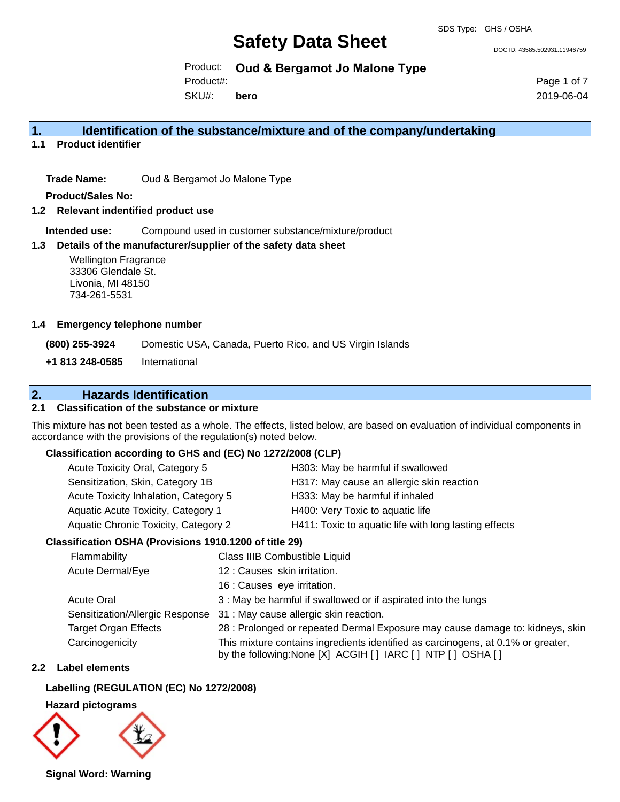DOC ID: 43585.502931.11946759

Product: **Oud & Bergamot Jo Malone Type**

SKU#: Product#: **bero** Page 1 of 7 2019-06-04

### **1. Identification of the substance/mixture and of the company/undertaking**

**1.1 Product identifier**

**Trade Name:** Oud & Bergamot Jo Malone Type

**Product/Sales No:**

**1.2 Relevant indentified product use**

**Intended use:** Compound used in customer substance/mixture/product

#### **1.3 Details of the manufacturer/supplier of the safety data sheet**

Wellington Fragrance 33306 Glendale St. Livonia, MI 48150 734-261-5531

#### **1.4 Emergency telephone number**

**(800) 255-3924** Domestic USA, Canada, Puerto Rico, and US Virgin Islands

**+1 813 248-0585** International

## **2. Hazards Identification**

### **2.1 Classification of the substance or mixture**

This mixture has not been tested as a whole. The effects, listed below, are based on evaluation of individual components in accordance with the provisions of the regulation(s) noted below.

#### **Classification according to GHS and (EC) No 1272/2008 (CLP)**

| Acute Toxicity Oral, Category 5       | H303: May be harmful if swallowed                     |
|---------------------------------------|-------------------------------------------------------|
| Sensitization, Skin, Category 1B      | H317: May cause an allergic skin reaction             |
| Acute Toxicity Inhalation, Category 5 | H333: May be harmful if inhaled                       |
| Aquatic Acute Toxicity, Category 1    | H400: Very Toxic to aquatic life                      |
| Aquatic Chronic Toxicity, Category 2  | H411: Toxic to aquatic life with long lasting effects |

### **Classification OSHA (Provisions 1910.1200 of title 29)**

| Flammability                    | Class IIIB Combustible Liquid                                                                                                                      |
|---------------------------------|----------------------------------------------------------------------------------------------------------------------------------------------------|
| Acute Dermal/Eye                | 12 : Causes skin irritation.                                                                                                                       |
|                                 | 16 : Causes eye irritation.                                                                                                                        |
| <b>Acute Oral</b>               | 3 : May be harmful if swallowed or if aspirated into the lungs                                                                                     |
| Sensitization/Allergic Response | 31 : May cause allergic skin reaction.                                                                                                             |
| <b>Target Organ Effects</b>     | 28 : Prolonged or repeated Dermal Exposure may cause damage to: kidneys, skin                                                                      |
| Carcinogenicity                 | This mixture contains ingredients identified as carcinogens, at 0.1% or greater,<br>by the following: None [X] ACGIH [ ] IARC [ ] NTP [ ] OSHA [ ] |

### **2.2 Label elements**

#### **Labelling (REGULATION (EC) No 1272/2008)**

**Hazard pictograms**



**Signal Word: Warning**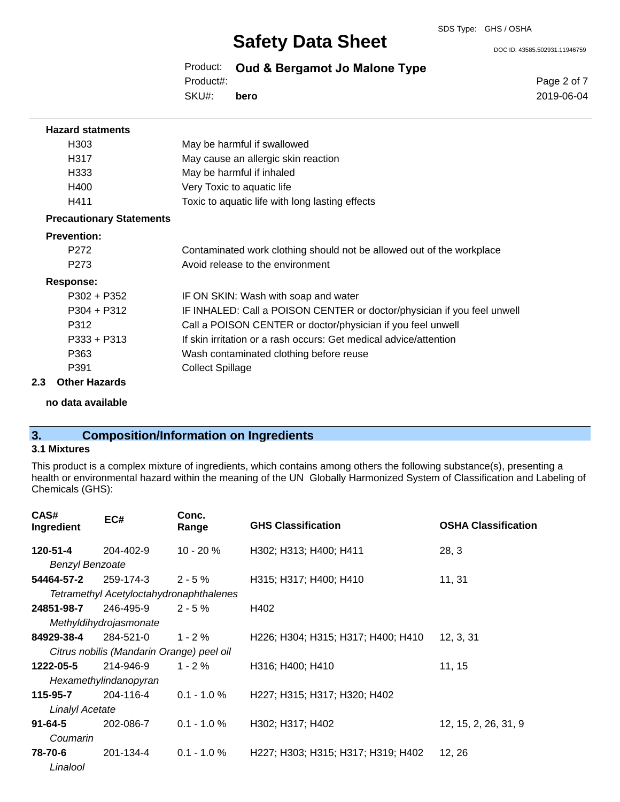DOC ID: 43585.502931.11946759

Product: **Oud & Bergamot Jo Malone Type** SKU#: Product#: **bero**

Page 2 of 7 2019-06-04

| <b>Hazard statments</b>         |                                                                         |
|---------------------------------|-------------------------------------------------------------------------|
| H <sub>303</sub>                | May be harmful if swallowed                                             |
| H317                            | May cause an allergic skin reaction                                     |
| H333                            | May be harmful if inhaled                                               |
| H400                            | Very Toxic to aquatic life                                              |
| H411                            | Toxic to aquatic life with long lasting effects                         |
| <b>Precautionary Statements</b> |                                                                         |
| <b>Prevention:</b>              |                                                                         |
| P <sub>272</sub>                | Contaminated work clothing should not be allowed out of the workplace   |
| P <sub>273</sub>                | Avoid release to the environment                                        |
| <b>Response:</b>                |                                                                         |
| P302 + P352                     | IF ON SKIN: Wash with soap and water                                    |
| $P304 + P312$                   | IF INHALED: Call a POISON CENTER or doctor/physician if you feel unwell |
| P312                            | Call a POISON CENTER or doctor/physician if you feel unwell             |
| $P333 + P313$                   | If skin irritation or a rash occurs: Get medical advice/attention       |
| P363                            | Wash contaminated clothing before reuse                                 |
| P391                            | <b>Collect Spillage</b>                                                 |
| 2.3<br><b>Other Hazards</b>     |                                                                         |

**no data available**

## **3. Composition/Information on Ingredients**

### **3.1 Mixtures**

This product is a complex mixture of ingredients, which contains among others the following substance(s), presenting a health or environmental hazard within the meaning of the UN Globally Harmonized System of Classification and Labeling of Chemicals (GHS):

| CAS#<br>Ingredient     | EC#                                       | Conc.<br>Range | <b>GHS Classification</b>          | <b>OSHA Classification</b> |
|------------------------|-------------------------------------------|----------------|------------------------------------|----------------------------|
| 120-51-4               | 204-402-9                                 | $10 - 20 \%$   | H302; H313; H400; H411             | 28, 3                      |
| <b>Benzyl Benzoate</b> |                                           |                |                                    |                            |
| 54464-57-2             | 259-174-3                                 | $2 - 5%$       | H315; H317; H400; H410             | 11, 31                     |
|                        | Tetramethyl Acetyloctahydronaphthalenes   |                |                                    |                            |
| 24851-98-7             | 246-495-9                                 | $2 - 5 \%$     | H402                               |                            |
|                        | Methyldihydrojasmonate                    |                |                                    |                            |
| 84929-38-4             | 284-521-0                                 | $1 - 2%$       | H226; H304; H315; H317; H400; H410 | 12, 3, 31                  |
|                        | Citrus nobilis (Mandarin Orange) peel oil |                |                                    |                            |
| 1222-05-5              | 214-946-9                                 | $1 - 2 \%$     | H316; H400; H410                   | 11, 15                     |
|                        | Hexamethylindanopyran                     |                |                                    |                            |
| 115-95-7               | 204-116-4                                 | $0.1 - 1.0 \%$ | H227; H315; H317; H320; H402       |                            |
| <b>Linalyl Acetate</b> |                                           |                |                                    |                            |
| $91 - 64 - 5$          | 202-086-7                                 | $0.1 - 1.0 \%$ | H302; H317; H402                   | 12, 15, 2, 26, 31, 9       |
| Coumarin               |                                           |                |                                    |                            |
| 78-70-6                | 201-134-4                                 | $0.1 - 1.0 \%$ | H227; H303; H315; H317; H319; H402 | 12, 26                     |
| Linalool               |                                           |                |                                    |                            |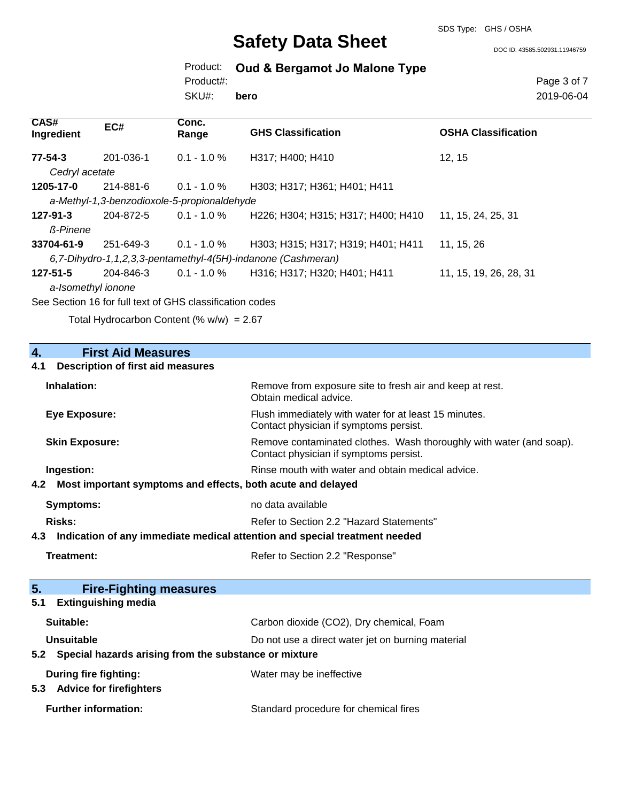DOC ID: 43585.502931.11946759

Product: **Oud & Bergamot Jo Malone Type**

SKU#: Product#: **bero** Page 3 of 7 2019-06-04

| <b>CAS#</b><br>Ingredient                                    | EC#                                                      | Conc.<br>Range | <b>GHS Classification</b>          | <b>OSHA Classification</b> |
|--------------------------------------------------------------|----------------------------------------------------------|----------------|------------------------------------|----------------------------|
| $77 - 54 - 3$                                                | 201-036-1                                                | $0.1 - 1.0 \%$ | H317; H400; H410                   | 12.15                      |
| Cedryl acetate                                               |                                                          |                |                                    |                            |
| 1205-17-0                                                    | 214-881-6                                                | $0.1 - 1.0 \%$ | H303; H317; H361; H401; H411       |                            |
|                                                              | a-Methyl-1,3-benzodioxole-5-propionaldehyde              |                |                                    |                            |
| 127-91-3                                                     | 204-872-5                                                | $0.1 - 1.0 \%$ | H226; H304; H315; H317; H400; H410 | 11, 15, 24, 25, 31         |
| ß-Pinene                                                     |                                                          |                |                                    |                            |
| 33704-61-9                                                   | 251-649-3                                                | $0.1 - 1.0 \%$ | H303; H315; H317; H319; H401; H411 | 11, 15, 26                 |
| 6,7-Dihydro-1,1,2,3,3-pentamethyl-4(5H)-indanone (Cashmeran) |                                                          |                |                                    |                            |
| $127 - 51 - 5$                                               | 204-846-3                                                | $0.1 - 1.0 \%$ | H316; H317; H320; H401; H411       | 11, 15, 19, 26, 28, 31     |
| a-Isomethyl ionone                                           |                                                          |                |                                    |                            |
|                                                              | See Section 16 for full text of GHS classification codes |                |                                    |                            |

Total Hydrocarbon Content  $(\% w/w) = 2.67$ 

| $\overline{4}$ .<br><b>First Aid Measures</b>                                     |                                                                                                               |
|-----------------------------------------------------------------------------------|---------------------------------------------------------------------------------------------------------------|
| <b>Description of first aid measures</b><br>4.1                                   |                                                                                                               |
| Inhalation:                                                                       | Remove from exposure site to fresh air and keep at rest.<br>Obtain medical advice.                            |
| <b>Eye Exposure:</b>                                                              | Flush immediately with water for at least 15 minutes.<br>Contact physician if symptoms persist.               |
| <b>Skin Exposure:</b>                                                             | Remove contaminated clothes. Wash thoroughly with water (and soap).<br>Contact physician if symptoms persist. |
| Ingestion:                                                                        | Rinse mouth with water and obtain medical advice.                                                             |
| Most important symptoms and effects, both acute and delayed<br>4.2                |                                                                                                               |
| <b>Symptoms:</b>                                                                  | no data available                                                                                             |
| Risks:                                                                            | Refer to Section 2.2 "Hazard Statements"                                                                      |
| Indication of any immediate medical attention and special treatment needed<br>4.3 |                                                                                                               |
| <b>Treatment:</b>                                                                 | Refer to Section 2.2 "Response"                                                                               |
|                                                                                   |                                                                                                               |
| 5.<br><b>Fire-Fighting measures</b>                                               |                                                                                                               |
| <b>Extinguishing media</b><br>5.1                                                 |                                                                                                               |
| Suitable:                                                                         | Carbon dioxide (CO2), Dry chemical, Foam                                                                      |
| Unsuitable                                                                        | Do not use a direct water jet on burning material                                                             |
| Special hazards arising from the substance or mixture<br>5.2                      |                                                                                                               |
| <b>During fire fighting:</b><br>5.3 Advice for firefighters                       | Water may be ineffective                                                                                      |
| <b>Further information:</b>                                                       | Standard procedure for chemical fires                                                                         |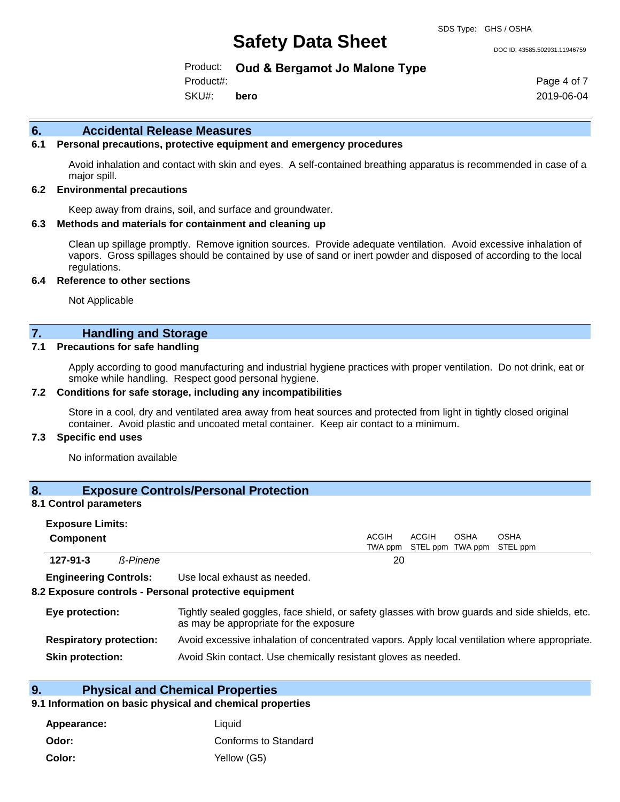DOC ID: 43585.502931.11946759

Product: **Oud & Bergamot Jo Malone Type**

SKU#: Product#: **bero** Page 4 of 7 2019-06-04

#### **6. Accidental Release Measures**

#### **6.1 Personal precautions, protective equipment and emergency procedures**

Avoid inhalation and contact with skin and eyes. A self-contained breathing apparatus is recommended in case of a major spill.

#### **6.2 Environmental precautions**

Keep away from drains, soil, and surface and groundwater.

#### **6.3 Methods and materials for containment and cleaning up**

Clean up spillage promptly. Remove ignition sources. Provide adequate ventilation. Avoid excessive inhalation of vapors. Gross spillages should be contained by use of sand or inert powder and disposed of according to the local regulations.

#### **6.4 Reference to other sections**

Not Applicable

## **7. Handling and Storage**

#### **7.1 Precautions for safe handling**

Apply according to good manufacturing and industrial hygiene practices with proper ventilation. Do not drink, eat or smoke while handling. Respect good personal hygiene.

#### **7.2 Conditions for safe storage, including any incompatibilities**

Store in a cool, dry and ventilated area away from heat sources and protected from light in tightly closed original container. Avoid plastic and uncoated metal container. Keep air contact to a minimum.

### **7.3 Specific end uses**

No information available

#### **8. Exposure Controls/Personal Protection**

#### **8.1 Control parameters**

| <b>Exposure Limits:</b><br><b>Component</b> |                 |                              | ACGIH | ACGIH                             | <b>OSHA</b> | <b>OSHA</b> |  |
|---------------------------------------------|-----------------|------------------------------|-------|-----------------------------------|-------------|-------------|--|
|                                             |                 |                              |       | TWA ppm STEL ppm TWA ppm STEL ppm |             |             |  |
| $127 - 91 - 3$                              | <b>ß-Pinene</b> |                              | 20    |                                   |             |             |  |
| <b>Engineering Controle:</b>                |                 | Llea local avhauet ae naadad |       |                                   |             |             |  |

**Engineering Controls:** Use local exhaust as needed.

#### **8.2 Exposure controls - Personal protective equipment**

| Eye protection:                | Tightly sealed goggles, face shield, or safety glasses with brow guards and side shields, etc.<br>as may be appropriate for the exposure |
|--------------------------------|------------------------------------------------------------------------------------------------------------------------------------------|
| <b>Respiratory protection:</b> | Avoid excessive inhalation of concentrated vapors. Apply local ventilation where appropriate.                                            |
| <b>Skin protection:</b>        | Avoid Skin contact. Use chemically resistant gloves as needed.                                                                           |

## **9. Physical and Chemical Properties**

#### **9.1 Information on basic physical and chemical properties**

| Appearance: | Liauid               |
|-------------|----------------------|
| Odor:       | Conforms to Standard |
| Color:      | Yellow (G5)          |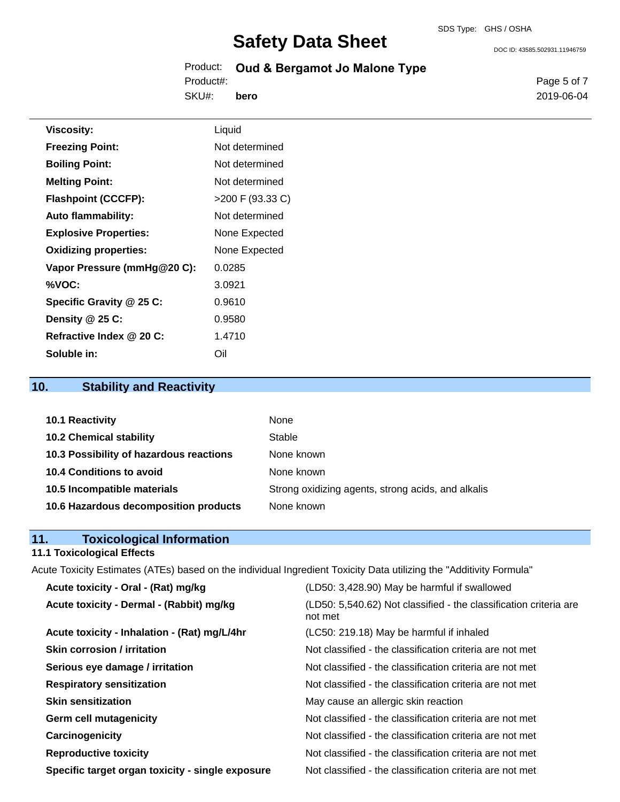DOC ID: 43585.502931.11946759

|           | Product: Oud & Bergamot Jo Malone Type |  |
|-----------|----------------------------------------|--|
| Product#: |                                        |  |

SKU#: **bero**

**Viscosity:** Liquid **Freezing Point:** Not determined **Boiling Point:** Not determined **Melting Point:** Not determined **Flashpoint (CCCFP):**  $>200 \text{ F } (93.33 \text{ C})$ Auto flammability: Not determined **Explosive Properties:** None Expected **Oxidizing properties:** None Expected **Vapor Pressure (mmHg@20 C):** 0.0285 **%VOC:** 3.0921 **Specific Gravity @ 25 C:** 0.9610 **Density @ 25 C:** 0.9580 **Refractive Index @ 20 C:** 1.4710 **Soluble in:** Oil

## **10. Stability and Reactivity**

| 10.1 Reactivity                         | None                                               |
|-----------------------------------------|----------------------------------------------------|
| <b>10.2 Chemical stability</b>          | Stable                                             |
| 10.3 Possibility of hazardous reactions | None known                                         |
| 10.4 Conditions to avoid                | None known                                         |
| 10.5 Incompatible materials             | Strong oxidizing agents, strong acids, and alkalis |
| 10.6 Hazardous decomposition products   | None known                                         |

# **11. Toxicological Information**

### **11.1 Toxicological Effects**

Acute Toxicity Estimates (ATEs) based on the individual Ingredient Toxicity Data utilizing the "Additivity Formula"

| Acute toxicity - Oral - (Rat) mg/kg              | (LD50: 3,428.90) May be harmful if swallowed                                 |
|--------------------------------------------------|------------------------------------------------------------------------------|
| Acute toxicity - Dermal - (Rabbit) mg/kg         | (LD50: 5,540.62) Not classified - the classification criteria are<br>not met |
| Acute toxicity - Inhalation - (Rat) mg/L/4hr     | (LC50: 219.18) May be harmful if inhaled                                     |
| <b>Skin corrosion / irritation</b>               | Not classified - the classification criteria are not met                     |
| Serious eye damage / irritation                  | Not classified - the classification criteria are not met                     |
| <b>Respiratory sensitization</b>                 | Not classified - the classification criteria are not met                     |
| <b>Skin sensitization</b>                        | May cause an allergic skin reaction                                          |
| <b>Germ cell mutagenicity</b>                    | Not classified - the classification criteria are not met                     |
| Carcinogenicity                                  | Not classified - the classification criteria are not met                     |
| <b>Reproductive toxicity</b>                     | Not classified - the classification criteria are not met                     |
| Specific target organ toxicity - single exposure | Not classified - the classification criteria are not met                     |

Page 5 of 7 2019-06-04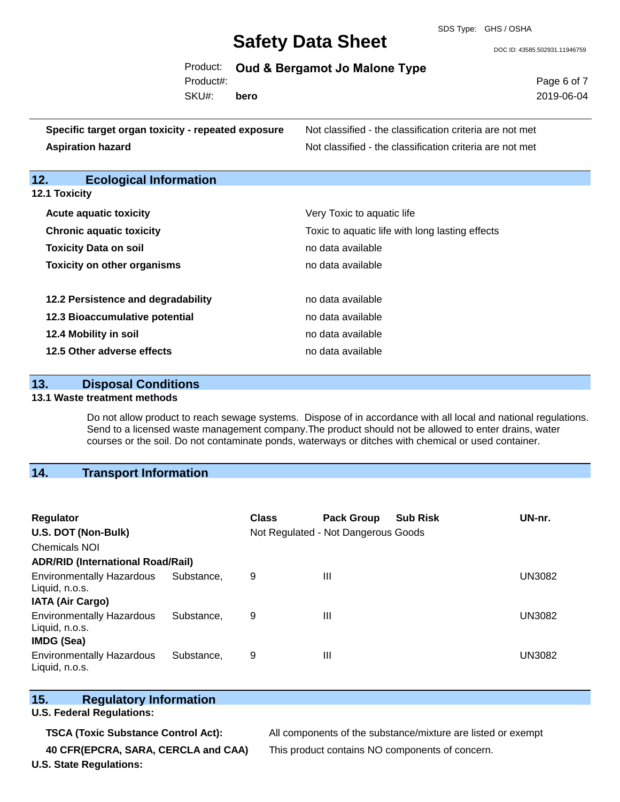SDS Type: GHS / OSHA

DOC ID: 43585.502931.11946759

|           | Product: Oud & Bergamot Jo Malone Type |  |
|-----------|----------------------------------------|--|
| Product#: |                                        |  |

SKU#: **bero** Page 6 of 7 2019-06-04

| Specific target organ toxicity - repeated exposure | Not classified - the classification criteria are not met |
|----------------------------------------------------|----------------------------------------------------------|
| Aspiration hazard                                  | Not classified - the classification criteria are not met |

## **12. Ecological Information**

| <b>12.1 Toxicity</b>               |                     |
|------------------------------------|---------------------|
| <b>Acute aquatic toxicity</b>      | Very Toxic to aqu   |
| <b>Chronic aquatic toxicity</b>    | Toxic to aquatic li |
| <b>Toxicity Data on soil</b>       | no data available   |
| <b>Toxicity on other organisms</b> | no data available   |

| 12.2 Persistence and degradability | no data available |
|------------------------------------|-------------------|
| 12.3 Bioaccumulative potential     | no data available |
| 12.4 Mobility in soil              | no data available |
| 12.5 Other adverse effects         | no data available |

| 13. | <b>Disposal Conditions</b> |
|-----|----------------------------|
|     |                            |

#### **13.1 Waste treatment methods**

Do not allow product to reach sewage systems. Dispose of in accordance with all local and national regulations. Send to a licensed waste management company.The product should not be allowed to enter drains, water courses or the soil. Do not contaminate ponds, waterways or ditches with chemical or used container.

**Very Toxic to aquatic life** 

Toxic to aquatic life with long lasting effects

## **14. Transport Information**

| <b>Regulator</b><br>U.S. DOT (Non-Bulk)<br><b>Chemicals NOI</b> |            | <b>Class</b> | <b>Pack Group</b><br>Not Regulated - Not Dangerous Goods | <b>Sub Risk</b> | UN-nr. |
|-----------------------------------------------------------------|------------|--------------|----------------------------------------------------------|-----------------|--------|
| <b>ADR/RID (International Road/Rail)</b>                        |            |              |                                                          |                 |        |
| <b>Environmentally Hazardous</b><br>Liquid, n.o.s.              | Substance. | 9            | Ш                                                        |                 | UN3082 |
| <b>IATA (Air Cargo)</b>                                         |            |              |                                                          |                 |        |
| <b>Environmentally Hazardous</b><br>Liquid, n.o.s.              | Substance. | 9            | Ш                                                        |                 | UN3082 |
| <b>IMDG (Sea)</b>                                               |            |              |                                                          |                 |        |
| <b>Environmentally Hazardous</b><br>Liquid, n.o.s.              | Substance. | 9            | Ш                                                        |                 | UN3082 |

## **15. Regulatory Information**

**U.S. Federal Regulations:**

**TSCA (Toxic Substance Control Act):** All components of the substance/mixture are listed or exempt **40 CFR(EPCRA, SARA, CERCLA and CAA)** This product contains NO components of concern.